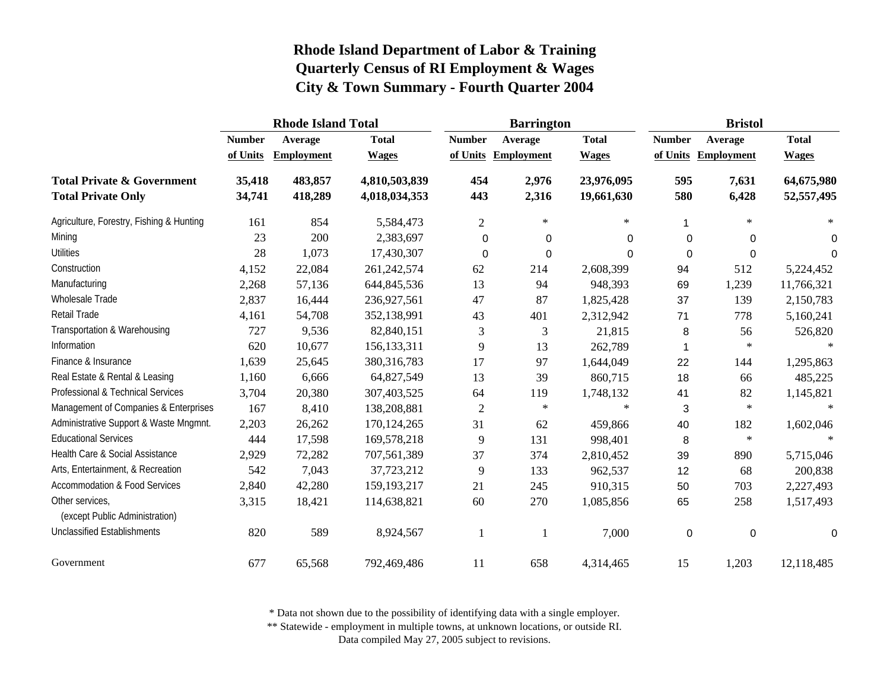|                                                                    | <b>Rhode Island Total</b> |                    |                                |                | <b>Barrington</b>   |                          | <b>Bristol</b> |                     |                          |
|--------------------------------------------------------------------|---------------------------|--------------------|--------------------------------|----------------|---------------------|--------------------------|----------------|---------------------|--------------------------|
|                                                                    | <b>Number</b>             | Average            | <b>Total</b>                   | <b>Number</b>  | Average             | <b>Total</b>             | <b>Number</b>  | Average             | <b>Total</b>             |
|                                                                    | of Units                  | <b>Employment</b>  | <b>Wages</b>                   |                | of Units Employment | <b>Wages</b>             |                | of Units Employment | <b>Wages</b>             |
| <b>Total Private &amp; Government</b><br><b>Total Private Only</b> | 35,418<br>34,741          | 483,857<br>418,289 | 4,810,503,839<br>4,018,034,353 | 454<br>443     | 2,976<br>2,316      | 23,976,095<br>19,661,630 | 595<br>580     | 7,631<br>6,428      | 64,675,980<br>52,557,495 |
| Agriculture, Forestry, Fishing & Hunting                           | 161                       | 854                | 5,584,473                      | $\overline{2}$ | $\ast$              | $\ast$                   | 1              | $\ast$              | $*$                      |
| Mining                                                             | 23                        | 200                | 2,383,697                      | 0              | 0                   | $\Omega$                 | $\mathbf 0$    | 0                   | 0                        |
| <b>Utilities</b>                                                   | 28                        | 1,073              | 17,430,307                     | $\overline{0}$ | $\Omega$            | $\Omega$                 | $\Omega$       | $\mathbf 0$         | $\Omega$                 |
| Construction                                                       | 4,152                     | 22,084             | 261,242,574                    | 62             | 214                 | 2,608,399                | 94             | 512                 | 5,224,452                |
| Manufacturing                                                      | 2,268                     | 57,136             | 644,845,536                    | 13             | 94                  | 948,393                  | 69             | 1,239               | 11,766,321               |
| Wholesale Trade                                                    | 2,837                     | 16,444             | 236,927,561                    | 47             | 87                  | 1,825,428                | 37             | 139                 | 2,150,783                |
| Retail Trade                                                       | 4,161                     | 54,708             | 352,138,991                    | 43             | 401                 | 2,312,942                | 71             | 778                 | 5,160,241                |
| Transportation & Warehousing                                       | 727                       | 9,536              | 82,840,151                     | 3              | 3                   | 21,815                   | 8              | 56                  | 526,820                  |
| Information                                                        | 620                       | 10,677             | 156, 133, 311                  | 9              | 13                  | 262,789                  |                | $\ast$              | $*$                      |
| Finance & Insurance                                                | 1,639                     | 25,645             | 380, 316, 783                  | 17             | 97                  | 1,644,049                | 22             | 144                 | 1,295,863                |
| Real Estate & Rental & Leasing                                     | 1,160                     | 6,666              | 64,827,549                     | 13             | 39                  | 860,715                  | 18             | 66                  | 485,225                  |
| Professional & Technical Services                                  | 3,704                     | 20,380             | 307,403,525                    | 64             | 119                 | 1,748,132                | 41             | 82                  | 1,145,821                |
| Management of Companies & Enterprises                              | 167                       | 8,410              | 138,208,881                    | $\overline{2}$ | $\ast$              | $\ast$                   | 3              | $\ast$              | $\ast$                   |
| Administrative Support & Waste Mngmnt.                             | 2,203                     | 26,262             | 170, 124, 265                  | 31             | 62                  | 459,866                  | 40             | 182                 | 1,602,046                |
| <b>Educational Services</b>                                        | 444                       | 17,598             | 169,578,218                    | 9              | 131                 | 998,401                  | 8              | $\ast$              |                          |
| Health Care & Social Assistance                                    | 2,929                     | 72,282             | 707,561,389                    | 37             | 374                 | 2,810,452                | 39             | 890                 | 5,715,046                |
| Arts, Entertainment, & Recreation                                  | 542                       | 7,043              | 37,723,212                     | 9              | 133                 | 962,537                  | 12             | 68                  | 200,838                  |
| <b>Accommodation &amp; Food Services</b>                           | 2,840                     | 42,280             | 159, 193, 217                  | 21             | 245                 | 910,315                  | 50             | 703                 | 2,227,493                |
| Other services,<br>(except Public Administration)                  | 3,315                     | 18,421             | 114,638,821                    | 60             | 270                 | 1,085,856                | 65             | 258                 | 1,517,493                |
| <b>Unclassified Establishments</b>                                 | 820                       | 589                | 8,924,567                      | $\mathbf{1}$   | -1                  | 7,000                    | $\mathbf 0$    | $\mathbf 0$         | $\Omega$                 |
| Government                                                         | 677                       | 65,568             | 792,469,486                    | 11             | 658                 | 4,314,465                | 15             | 1,203               | 12,118,485               |

\* Data not shown due to the possibility of identifying data with a single employer.

\*\* Statewide - employment in multiple towns, at unknown locations, or outside RI.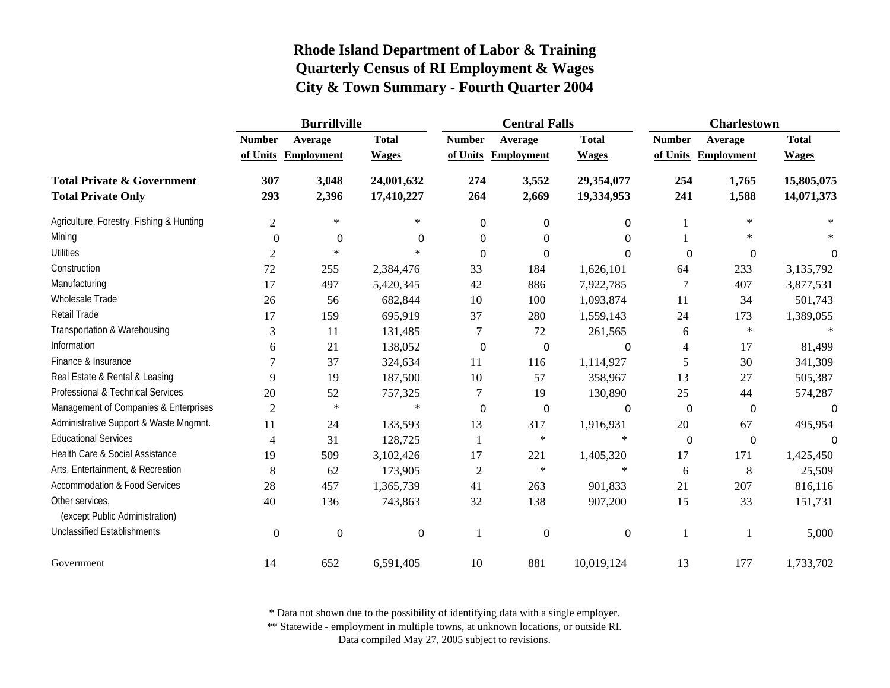|                                                                    | <b>Burrillville</b> |                     |                          |                | <b>Central Falls</b> |                          | <b>Charlestown</b> |                     |                          |
|--------------------------------------------------------------------|---------------------|---------------------|--------------------------|----------------|----------------------|--------------------------|--------------------|---------------------|--------------------------|
|                                                                    | <b>Number</b>       | Average             | <b>Total</b>             | <b>Number</b>  | Average              | <b>Total</b>             | <b>Number</b>      | Average             | <b>Total</b>             |
|                                                                    |                     | of Units Employment | <b>Wages</b>             | of Units       | <b>Employment</b>    | <b>Wages</b>             |                    | of Units Employment | <b>Wages</b>             |
| <b>Total Private &amp; Government</b><br><b>Total Private Only</b> | 307<br>293          | 3,048<br>2,396      | 24,001,632<br>17,410,227 | 274<br>264     | 3,552<br>2,669       | 29,354,077<br>19,334,953 | 254<br>241         | 1,765<br>1,588      | 15,805,075<br>14,071,373 |
| Agriculture, Forestry, Fishing & Hunting                           | $\overline{2}$      | $\ast$              | $\ast$                   | 0              | 0                    | 0                        |                    | $\ast$              |                          |
| Mining                                                             | $\mathbf 0$         | $\boldsymbol{0}$    | 0                        | 0              | 0                    | 0                        |                    | $\ast$              |                          |
| <b>Utilities</b>                                                   | $\overline{c}$      | $\ast$              | $\ast$                   | $\Omega$       | 0                    | 0                        | 0                  | 0                   | 0                        |
| Construction                                                       | 72                  | 255                 | 2,384,476                | 33             | 184                  | 1,626,101                | 64                 | 233                 | 3,135,792                |
| Manufacturing                                                      | 17                  | 497                 | 5,420,345                | 42             | 886                  | 7,922,785                | 7                  | 407                 | 3,877,531                |
| Wholesale Trade                                                    | 26                  | 56                  | 682,844                  | 10             | 100                  | 1,093,874                | 11                 | 34                  | 501,743                  |
| Retail Trade                                                       | 17                  | 159                 | 695,919                  | 37             | 280                  | 1,559,143                | 24                 | 173                 | 1,389,055                |
| Transportation & Warehousing                                       | 3                   | 11                  | 131,485                  | 7              | 72                   | 261,565                  | 6                  | $\ast$              |                          |
| Information                                                        | 6                   | 21                  | 138,052                  | 0              | 0                    | 0                        | 4                  | 17                  | 81,499                   |
| Finance & Insurance                                                | 7                   | 37                  | 324,634                  | 11             | 116                  | 1,114,927                | 5                  | 30                  | 341,309                  |
| Real Estate & Rental & Leasing                                     | 9                   | 19                  | 187,500                  | 10             | 57                   | 358,967                  | 13                 | 27                  | 505,387                  |
| Professional & Technical Services                                  | 20                  | 52                  | 757,325                  | 7              | 19                   | 130,890                  | 25                 | 44                  | 574,287                  |
| Management of Companies & Enterprises                              | $\overline{2}$      | $\ast$              | $\star$                  | 0              | 0                    | $\mathbf 0$              | 0                  | 0                   | 0                        |
| Administrative Support & Waste Mngmnt.                             | 11                  | 24                  | 133,593                  | 13             | 317                  | 1,916,931                | 20                 | 67                  | 495,954                  |
| <b>Educational Services</b>                                        | 4                   | 31                  | 128,725                  | $\mathbf{1}$   | $\ast$               | $\ast$                   | $\boldsymbol{0}$   | 0                   | $\Omega$                 |
| Health Care & Social Assistance                                    | 19                  | 509                 | 3,102,426                | 17             | 221                  | 1,405,320                | 17                 | 171                 | 1,425,450                |
| Arts, Entertainment, & Recreation                                  | 8                   | 62                  | 173,905                  | $\overline{c}$ | $\ast$               | $\ast$                   | 6                  | 8                   | 25,509                   |
| <b>Accommodation &amp; Food Services</b>                           | 28                  | 457                 | 1,365,739                | 41             | 263                  | 901,833                  | 21                 | 207                 | 816,116                  |
| Other services,<br>(except Public Administration)                  | 40                  | 136                 | 743,863                  | 32             | 138                  | 907,200                  | 15                 | 33                  | 151,731                  |
| <b>Unclassified Establishments</b>                                 | $\mathbf 0$         | 0                   | 0                        | 1              | 0                    | 0                        | 1                  |                     | 5,000                    |
| Government                                                         | 14                  | 652                 | 6,591,405                | 10             | 881                  | 10,019,124               | 13                 | 177                 | 1,733,702                |

\* Data not shown due to the possibility of identifying data with a single employer.

\*\* Statewide - employment in multiple towns, at unknown locations, or outside RI.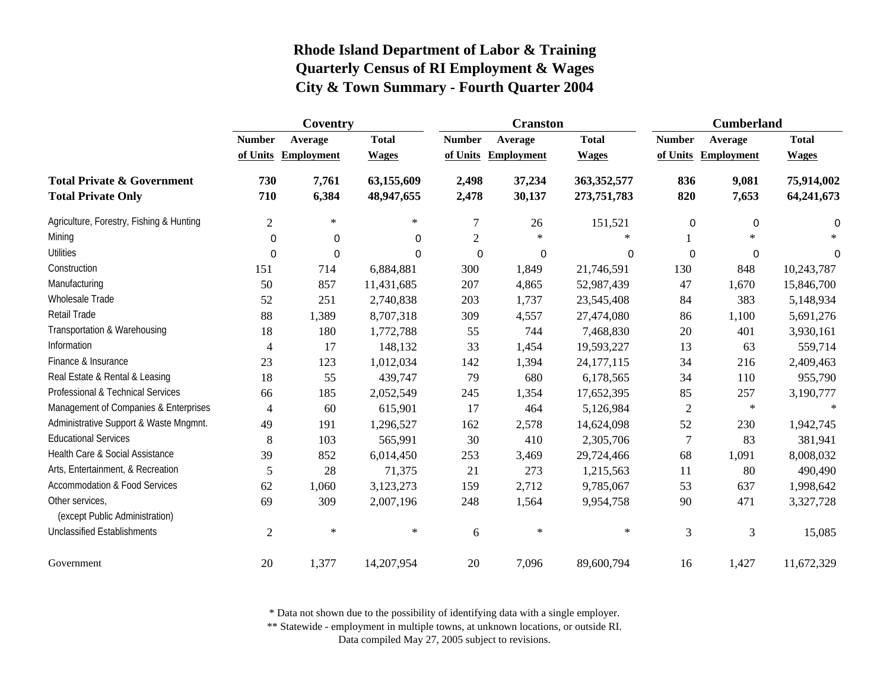|                                                                    | Coventry       |                     |                          |                | <b>Cranston</b>   |                            | <b>Cumberland</b> |                     |                          |
|--------------------------------------------------------------------|----------------|---------------------|--------------------------|----------------|-------------------|----------------------------|-------------------|---------------------|--------------------------|
|                                                                    | <b>Number</b>  | Average             | <b>Total</b>             | <b>Number</b>  | Average           | <b>Total</b>               | <b>Number</b>     | Average             | <b>Total</b>             |
|                                                                    |                | of Units Employment | <b>Wages</b>             | of Units       | <b>Employment</b> | <b>Wages</b>               |                   | of Units Employment | <b>Wages</b>             |
| <b>Total Private &amp; Government</b><br><b>Total Private Only</b> | 730<br>710     | 7,761<br>6,384      | 63,155,609<br>48,947,655 | 2,498<br>2,478 | 37,234<br>30,137  | 363,352,577<br>273,751,783 | 836<br>820        | 9,081<br>7,653      | 75,914,002<br>64,241,673 |
| Agriculture, Forestry, Fishing & Hunting                           | $\overline{2}$ | $\gg$               | $\ast$                   | 7              | 26                | 151,521                    | 0                 | 0                   | 0                        |
| Mining                                                             | $\mathbf 0$    | 0                   | 0                        | $\overline{2}$ | $\ast$            | $\ast$                     |                   | $\ast$              |                          |
| <b>Utilities</b>                                                   | 0              | $\mathbf 0$         | $\Omega$                 | 0              | 0                 | $\mathbf 0$                | $\mathbf 0$       | $\pmb{0}$           | 0                        |
| Construction                                                       | 151            | 714                 | 6,884,881                | 300            | 1,849             | 21,746,591                 | 130               | 848                 | 10,243,787               |
| Manufacturing                                                      | 50             | 857                 | 11,431,685               | 207            | 4,865             | 52,987,439                 | 47                | 1,670               | 15,846,700               |
| Wholesale Trade                                                    | 52             | 251                 | 2,740,838                | 203            | 1,737             | 23,545,408                 | 84                | 383                 | 5,148,934                |
| Retail Trade                                                       | 88             | 1,389               | 8,707,318                | 309            | 4,557             | 27,474,080                 | 86                | 1,100               | 5,691,276                |
| Transportation & Warehousing                                       | 18             | 180                 | 1,772,788                | 55             | 744               | 7,468,830                  | 20                | 401                 | 3,930,161                |
| Information                                                        | 4              | 17                  | 148,132                  | 33             | 1,454             | 19,593,227                 | 13                | 63                  | 559,714                  |
| Finance & Insurance                                                | 23             | 123                 | 1,012,034                | 142            | 1,394             | 24,177,115                 | 34                | 216                 | 2,409,463                |
| Real Estate & Rental & Leasing                                     | 18             | 55                  | 439,747                  | 79             | 680               | 6,178,565                  | 34                | 110                 | 955,790                  |
| Professional & Technical Services                                  | 66             | 185                 | 2,052,549                | 245            | 1,354             | 17,652,395                 | 85                | 257                 | 3,190,777                |
| Management of Companies & Enterprises                              | $\overline{4}$ | 60                  | 615,901                  | 17             | 464               | 5,126,984                  | $\sqrt{2}$        | $\ast$              | $\ast$                   |
| Administrative Support & Waste Mngmnt.                             | 49             | 191                 | 1,296,527                | 162            | 2,578             | 14,624,098                 | 52                | 230                 | 1,942,745                |
| <b>Educational Services</b>                                        | 8              | 103                 | 565,991                  | 30             | 410               | 2,305,706                  | $\overline{7}$    | 83                  | 381,941                  |
| Health Care & Social Assistance                                    | 39             | 852                 | 6,014,450                | 253            | 3,469             | 29,724,466                 | 68                | 1,091               | 8,008,032                |
| Arts, Entertainment, & Recreation                                  | 5              | 28                  | 71,375                   | 21             | 273               | 1,215,563                  | 11                | 80                  | 490,490                  |
| <b>Accommodation &amp; Food Services</b>                           | 62             | 1,060               | 3,123,273                | 159            | 2,712             | 9,785,067                  | 53                | 637                 | 1,998,642                |
| Other services,<br>(except Public Administration)                  | 69             | 309                 | 2,007,196                | 248            | 1,564             | 9,954,758                  | 90                | 471                 | 3,327,728                |
| <b>Unclassified Establishments</b>                                 | $\mathfrak{2}$ | $\ast$              | $\ast$                   | 6              | $\ast$            | $\ast$                     | 3                 | 3                   | 15,085                   |
| Government                                                         | 20             | 1,377               | 14,207,954               | 20             | 7,096             | 89,600,794                 | 16                | 1,427               | 11,672,329               |

\* Data not shown due to the possibility of identifying data with a single employer.

\*\* Statewide - employment in multiple towns, at unknown locations, or outside RI.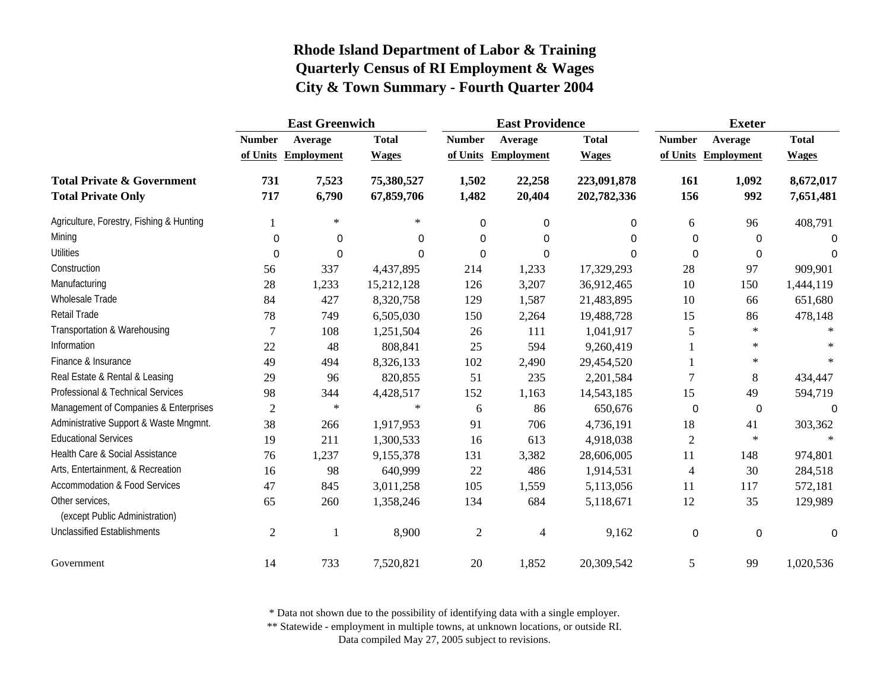|                                                                    | <b>East Greenwich</b> |                     |                          | <b>East Providence</b> |                     |                            | <b>Exeter</b>  |                     |                        |
|--------------------------------------------------------------------|-----------------------|---------------------|--------------------------|------------------------|---------------------|----------------------------|----------------|---------------------|------------------------|
|                                                                    | <b>Number</b>         | Average             | <b>Total</b>             | <b>Number</b>          | Average             | <b>Total</b>               | <b>Number</b>  | Average             | <b>Total</b>           |
|                                                                    |                       | of Units Employment | <b>Wages</b>             |                        | of Units Employment | <b>Wages</b>               |                | of Units Employment | <b>Wages</b>           |
| <b>Total Private &amp; Government</b><br><b>Total Private Only</b> | 731<br>717            | 7,523<br>6,790      | 75,380,527<br>67,859,706 | 1,502<br>1,482         | 22,258<br>20,404    | 223,091,878<br>202,782,336 | 161<br>156     | 1,092<br>992        | 8,672,017<br>7,651,481 |
|                                                                    |                       | $\ast$              | $\ast$                   |                        |                     |                            |                |                     |                        |
| Agriculture, Forestry, Fishing & Hunting                           |                       |                     |                          | $\Omega$               | 0                   | 0                          | 6              | 96                  | 408,791                |
| Mining                                                             | $\mathbf 0$           | 0                   | 0                        | 0                      | $\Omega$            | 0                          | $\Omega$       | 0                   | 0                      |
| <b>Utilities</b>                                                   | $\mathbf 0$           | 0                   | 0                        | $\Omega$               | $\Omega$            | 0                          | $\Omega$       | $\Omega$            | $\Omega$               |
| Construction                                                       | 56                    | 337                 | 4,437,895                | 214                    | 1,233               | 17,329,293                 | 28             | 97                  | 909,901                |
| Manufacturing                                                      | 28                    | 1,233               | 15,212,128               | 126                    | 3,207               | 36,912,465                 | 10             | 150                 | 1,444,119              |
| Wholesale Trade                                                    | 84                    | 427                 | 8,320,758                | 129                    | 1,587               | 21,483,895                 | 10             | 66                  | 651,680                |
| Retail Trade                                                       | 78                    | 749                 | 6,505,030                | 150                    | 2,264               | 19,488,728                 | 15             | 86                  | 478,148                |
| Transportation & Warehousing                                       | 7                     | 108                 | 1,251,504                | 26                     | 111                 | 1,041,917                  | 5              | $\ast$              |                        |
| Information                                                        | 22                    | 48                  | 808,841                  | 25                     | 594                 | 9,260,419                  |                | $\ast$              |                        |
| Finance & Insurance                                                | 49                    | 494                 | 8,326,133                | 102                    | 2,490               | 29,454,520                 |                | $\ast$              |                        |
| Real Estate & Rental & Leasing                                     | 29                    | 96                  | 820,855                  | 51                     | 235                 | 2,201,584                  | $\overline{7}$ | 8                   | 434,447                |
| Professional & Technical Services                                  | 98                    | 344                 | 4,428,517                | 152                    | 1,163               | 14,543,185                 | 15             | 49                  | 594,719                |
| Management of Companies & Enterprises                              | $\overline{2}$        | $\ast$              | $\ast$                   | 6                      | 86                  | 650,676                    | 0              | 0                   | 0                      |
| Administrative Support & Waste Mngmnt.                             | 38                    | 266                 | 1,917,953                | 91                     | 706                 | 4,736,191                  | 18             | 41                  | 303,362                |
| <b>Educational Services</b>                                        | 19                    | 211                 | 1,300,533                | 16                     | 613                 | 4,918,038                  | $\overline{2}$ | $\ast$              |                        |
| Health Care & Social Assistance                                    | 76                    | 1,237               | 9,155,378                | 131                    | 3,382               | 28,606,005                 | 11             | 148                 | 974,801                |
| Arts, Entertainment, & Recreation                                  | 16                    | 98                  | 640,999                  | 22                     | 486                 | 1,914,531                  | $\overline{4}$ | 30                  | 284,518                |
| <b>Accommodation &amp; Food Services</b>                           | 47                    | 845                 | 3,011,258                | 105                    | 1,559               | 5,113,056                  | 11             | 117                 | 572,181                |
| Other services.                                                    | 65                    | 260                 | 1,358,246                | 134                    | 684                 | 5,118,671                  | 12             | 35                  | 129,989                |
| (except Public Administration)                                     |                       |                     |                          |                        |                     |                            |                |                     |                        |
| <b>Unclassified Establishments</b>                                 | 2                     |                     | 8,900                    | $\overline{2}$         | $\overline{4}$      | 9,162                      | $\mathbf 0$    | $\mathbf 0$         | $\Omega$               |
| Government                                                         | 14                    | 733                 | 7,520,821                | $20\,$                 | 1,852               | 20,309,542                 | 5              | 99                  | 1,020,536              |

\* Data not shown due to the possibility of identifying data with a single employer.

\*\* Statewide - employment in multiple towns, at unknown locations, or outside RI.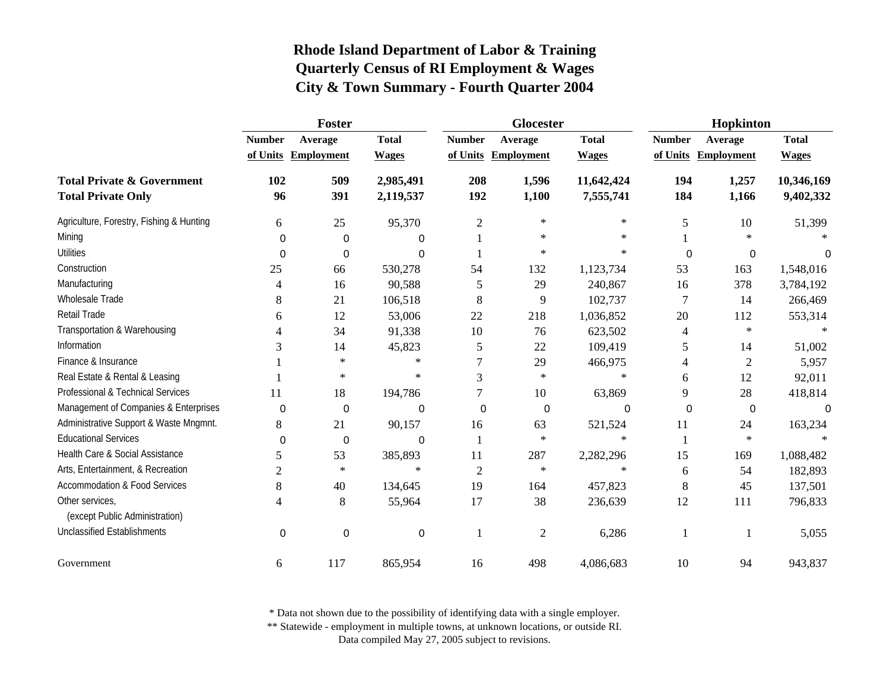|                                                   | Foster         |                     |                  |                         | Glocester         |              | Hopkinton      |                     |              |  |
|---------------------------------------------------|----------------|---------------------|------------------|-------------------------|-------------------|--------------|----------------|---------------------|--------------|--|
|                                                   | <b>Number</b>  | Average             | <b>Total</b>     | <b>Number</b>           | Average           | <b>Total</b> | <b>Number</b>  | Average             | <b>Total</b> |  |
|                                                   |                | of Units Employment | <b>Wages</b>     | of Units                | <b>Employment</b> | <b>Wages</b> |                | of Units Employment | <b>Wages</b> |  |
| <b>Total Private &amp; Government</b>             | 102            | 509                 | 2,985,491        | 208                     | 1,596             | 11,642,424   | 194            | 1,257               | 10,346,169   |  |
| <b>Total Private Only</b>                         | 96             | 391                 | 2,119,537        | 192                     | 1,100             | 7,555,741    | 184            | 1,166               | 9,402,332    |  |
| Agriculture, Forestry, Fishing & Hunting          | 6              | 25                  | 95,370           | $\mathbf{2}$            | $\ast$            | $\ast$       | 5              | 10                  | 51,399       |  |
| Mining                                            | 0              | $\mathbf 0$         | 0                |                         | $\ast$            | $\ast$       |                | $\ast$              |              |  |
| <b>Utilities</b>                                  | $\Omega$       | $\mathbf 0$         | $\Omega$         |                         | $\ast$            | $\ast$       | $\Omega$       | 0                   | 0            |  |
| Construction                                      | 25             | 66                  | 530,278          | 54                      | 132               | 1,123,734    | 53             | 163                 | 1,548,016    |  |
| Manufacturing                                     | 4              | 16                  | 90,588           | 5                       | 29                | 240,867      | 16             | 378                 | 3,784,192    |  |
| <b>Wholesale Trade</b>                            | 8              | 21                  | 106,518          | 8                       | 9                 | 102,737      | $\overline{7}$ | 14                  | 266,469      |  |
| <b>Retail Trade</b>                               | 6              | 12                  | 53,006           | 22                      | 218               | 1,036,852    | 20             | 112                 | 553,314      |  |
| Transportation & Warehousing                      | 4              | 34                  | 91,338           | 10                      | 76                | 623,502      | 4              | $\ast$              |              |  |
| Information                                       | 3              | 14                  | 45,823           | 5                       | 22                | 109,419      | 5              | 14                  | 51,002       |  |
| Finance & Insurance                               |                | $\ast$              | $\ast$           |                         | 29                | 466,975      | 4              | 2                   | 5,957        |  |
| Real Estate & Rental & Leasing                    |                | $\ast$              | $\ast$           | 3                       | $\ast$            | $\ast$       | 6              | 12                  | 92,011       |  |
| Professional & Technical Services                 | 11             | 18                  | 194,786          | 7                       | 10                | 63,869       | 9              | 28                  | 418,814      |  |
| Management of Companies & Enterprises             | $\mathbf 0$    | $\mathbf 0$         | $\boldsymbol{0}$ | 0                       | 0                 | 0            | 0              | 0                   | 0            |  |
| Administrative Support & Waste Mngmnt.            | 8              | 21                  | 90,157           | 16                      | 63                | 521,524      | 11             | 24                  | 163,234      |  |
| <b>Educational Services</b>                       | $\mathbf 0$    | 0                   | 0                | $\overline{\mathbf{1}}$ | $\ast$            | $\ast$       | 1              | $\ast$              |              |  |
| Health Care & Social Assistance                   | 5              | 53                  | 385,893          | 11                      | 287               | 2,282,296    | 15             | 169                 | 1,088,482    |  |
| Arts, Entertainment, & Recreation                 | $\overline{c}$ | $\ast$              | $\ast$           | $\overline{2}$          | $\ast$            | $\ast$       | 6              | 54                  | 182,893      |  |
| <b>Accommodation &amp; Food Services</b>          | 8              | 40                  | 134,645          | 19                      | 164               | 457,823      | 8              | 45                  | 137,501      |  |
| Other services,<br>(except Public Administration) | 4              | 8                   | 55,964           | 17                      | 38                | 236,639      | 12             | 111                 | 796,833      |  |
| <b>Unclassified Establishments</b>                | 0              | 0                   | 0                | -1                      | $\overline{2}$    | 6,286        | 1              | $\mathbf{1}$        | 5,055        |  |
| Government                                        | 6              | 117                 | 865,954          | 16                      | 498               | 4,086,683    | 10             | 94                  | 943,837      |  |

\* Data not shown due to the possibility of identifying data with a single employer.

\*\* Statewide - employment in multiple towns, at unknown locations, or outside RI.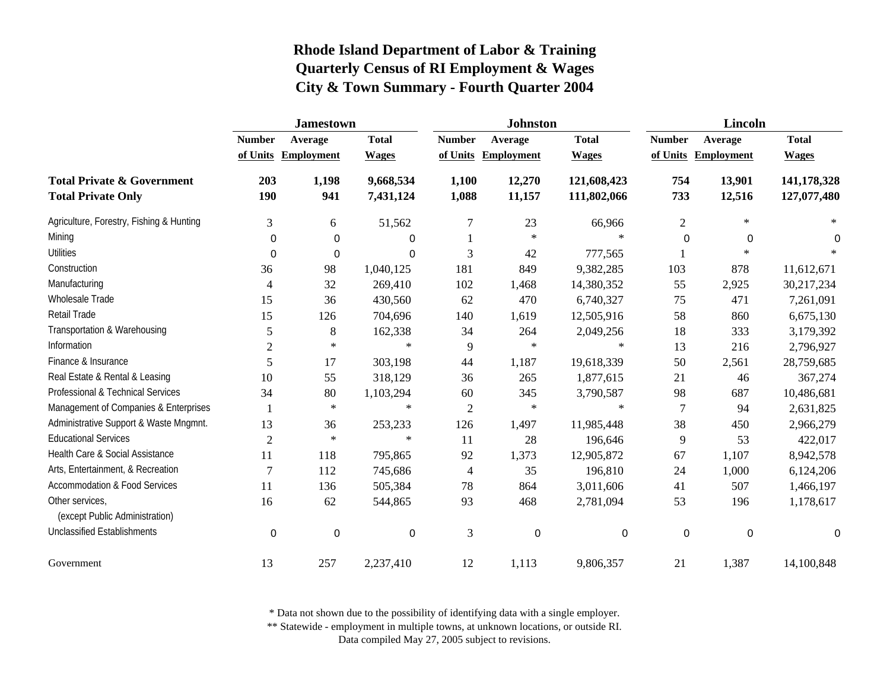|                                                                    | <b>Jamestown</b> |                   |                        |                | <b>Johnston</b>   |                            | <b>Lincoln</b> |                   |                            |
|--------------------------------------------------------------------|------------------|-------------------|------------------------|----------------|-------------------|----------------------------|----------------|-------------------|----------------------------|
|                                                                    | <b>Number</b>    | Average           | <b>Total</b>           | <b>Number</b>  | Average           | <b>Total</b>               | <b>Number</b>  | Average           | <b>Total</b>               |
|                                                                    | of Units         | <b>Employment</b> | <b>Wages</b>           | of Units       | <b>Employment</b> | <b>Wages</b>               | of Units       | <b>Employment</b> | <b>Wages</b>               |
| <b>Total Private &amp; Government</b><br><b>Total Private Only</b> | 203<br>190       | 1,198<br>941      | 9,668,534<br>7,431,124 | 1,100<br>1,088 | 12,270<br>11,157  | 121,608,423<br>111,802,066 | 754<br>733     | 13,901<br>12,516  | 141,178,328<br>127,077,480 |
| Agriculture, Forestry, Fishing & Hunting                           | 3                | 6                 | 51,562                 | 7              | 23                | 66,966                     | $\overline{c}$ | $\ast$            | $\ast$                     |
| Mining                                                             | 0                | 0                 | 0                      |                | $\ast$            | $\ast$                     | 0              | $\Omega$          | 0                          |
| <b>Utilities</b>                                                   | 0                | 0                 | 0                      | 3              | 42                | 777,565                    |                | $\ast$            |                            |
| Construction                                                       | 36               | 98                | 1,040,125              | 181            | 849               | 9,382,285                  | 103            | 878               | 11,612,671                 |
| Manufacturing                                                      | 4                | 32                | 269,410                | 102            | 1,468             | 14,380,352                 | 55             | 2,925             | 30,217,234                 |
| Wholesale Trade                                                    | 15               | 36                | 430,560                | 62             | 470               | 6,740,327                  | 75             | 471               | 7,261,091                  |
| Retail Trade                                                       | 15               | 126               | 704,696                | 140            | 1,619             | 12,505,916                 | 58             | 860               | 6,675,130                  |
| Transportation & Warehousing                                       | 5                | 8                 | 162,338                | 34             | 264               | 2,049,256                  | 18             | 333               | 3,179,392                  |
| Information                                                        | $\mathfrak{2}$   | $\star$           | $\ast$                 | 9              | $\ast$            | $\ast$                     | 13             | 216               | 2,796,927                  |
| Finance & Insurance                                                | 5                | 17                | 303,198                | 44             | 1,187             | 19,618,339                 | 50             | 2,561             | 28,759,685                 |
| Real Estate & Rental & Leasing                                     | 10               | 55                | 318,129                | 36             | 265               | 1,877,615                  | 21             | 46                | 367,274                    |
| Professional & Technical Services                                  | 34               | 80                | 1,103,294              | 60             | 345               | 3,790,587                  | 98             | 687               | 10,486,681                 |
| Management of Companies & Enterprises                              |                  | $\ast$            | $\ast$                 | $\overline{2}$ | $\ast$            | $\ast$                     | $\overline{7}$ | 94                | 2,631,825                  |
| Administrative Support & Waste Mngmnt.                             | 13               | 36                | 253,233                | 126            | 1,497             | 11,985,448                 | 38             | 450               | 2,966,279                  |
| <b>Educational Services</b>                                        | $\overline{2}$   | $\star$           | $\star$                | 11             | 28                | 196,646                    | 9              | 53                | 422,017                    |
| Health Care & Social Assistance                                    | 11               | 118               | 795,865                | 92             | 1,373             | 12,905,872                 | 67             | 1,107             | 8,942,578                  |
| Arts, Entertainment, & Recreation                                  | $\overline{7}$   | 112               | 745,686                | 4              | 35                | 196,810                    | 24             | 1,000             | 6,124,206                  |
| Accommodation & Food Services                                      | 11               | 136               | 505,384                | 78             | 864               | 3,011,606                  | 41             | 507               | 1,466,197                  |
| Other services,<br>(except Public Administration)                  | 16               | 62                | 544,865                | 93             | 468               | 2,781,094                  | 53             | 196               | 1,178,617                  |
| <b>Unclassified Establishments</b>                                 | 0                | $\boldsymbol{0}$  | $\boldsymbol{0}$       | 3              | 0                 | 0                          | 0              | $\mathbf 0$       | 0                          |
| Government                                                         | 13               | 257               | 2,237,410              | 12             | 1,113             | 9,806,357                  | 21             | 1,387             | 14,100,848                 |

\* Data not shown due to the possibility of identifying data with a single employer.

\*\* Statewide - employment in multiple towns, at unknown locations, or outside RI.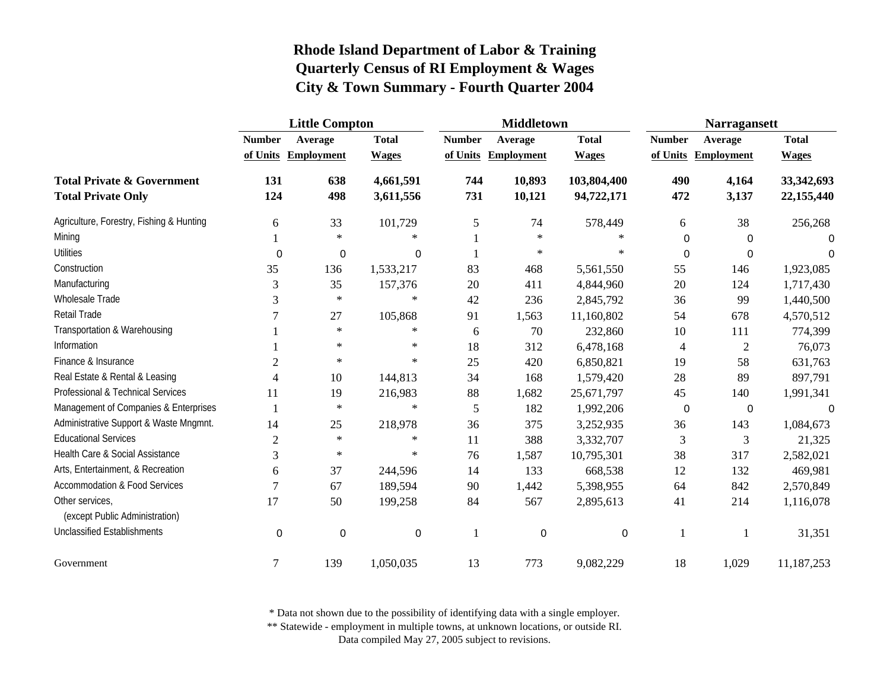|                                          | <b>Little Compton</b> |                   |              |               | <b>Middletown</b>   |              | <b>Narragansett</b> |                     |              |
|------------------------------------------|-----------------------|-------------------|--------------|---------------|---------------------|--------------|---------------------|---------------------|--------------|
|                                          | <b>Number</b>         | Average           | <b>Total</b> | <b>Number</b> | Average             | <b>Total</b> | <b>Number</b>       | Average             | <b>Total</b> |
|                                          | of Units              | <b>Employment</b> | <b>Wages</b> |               | of Units Employment | <b>Wages</b> |                     | of Units Employment | <b>Wages</b> |
| <b>Total Private &amp; Government</b>    | 131                   | 638               | 4,661,591    | 744           | 10,893              | 103,804,400  | 490                 | 4,164               | 33, 342, 693 |
| <b>Total Private Only</b>                | 124                   | 498               | 3,611,556    | 731           | 10,121              | 94,722,171   | 472                 | 3,137               | 22,155,440   |
| Agriculture, Forestry, Fishing & Hunting | 6                     | 33                | 101,729      | 5             | 74                  | 578,449      | 6                   | 38                  | 256,268      |
| Mining                                   |                       | $\ast$            | $\ast$       |               | $\ast$              | $\ast$       | $\boldsymbol{0}$    | 0                   | $\Omega$     |
| <b>Utilities</b>                         | $\mathbf 0$           | 0                 | 0            |               | $\ast$              | $\ast$       | $\mathbf 0$         | $\Omega$            | $\Omega$     |
| Construction                             | 35                    | 136               | 1,533,217    | 83            | 468                 | 5,561,550    | 55                  | 146                 | 1,923,085    |
| Manufacturing                            | 3                     | 35                | 157,376      | 20            | 411                 | 4,844,960    | 20                  | 124                 | 1,717,430    |
| Wholesale Trade                          | 3                     | $\ast$            | $\ast$       | 42            | 236                 | 2,845,792    | 36                  | 99                  | 1,440,500    |
| Retail Trade                             |                       | 27                | 105,868      | 91            | 1,563               | 11,160,802   | 54                  | 678                 | 4,570,512    |
| Transportation & Warehousing             |                       | $\ast$            | $\ast$       | 6             | 70                  | 232,860      | 10                  | 111                 | 774,399      |
| Information                              |                       | $\ast$            | $\ast$       | 18            | 312                 | 6,478,168    | $\overline{4}$      | $\overline{2}$      | 76,073       |
| Finance & Insurance                      | $\overline{c}$        | $\ast$            | $\ast$       | 25            | 420                 | 6,850,821    | 19                  | 58                  | 631,763      |
| Real Estate & Rental & Leasing           | 4                     | 10                | 144,813      | 34            | 168                 | 1,579,420    | 28                  | 89                  | 897,791      |
| Professional & Technical Services        | 11                    | 19                | 216,983      | 88            | 1,682               | 25,671,797   | 45                  | 140                 | 1,991,341    |
| Management of Companies & Enterprises    | 1                     | $\ast$            | $\ast$       | 5             | 182                 | 1,992,206    | $\pmb{0}$           | 0                   | 0            |
| Administrative Support & Waste Mngmnt.   | 14                    | 25                | 218,978      | 36            | 375                 | 3,252,935    | 36                  | 143                 | 1,084,673    |
| <b>Educational Services</b>              | $\overline{c}$        | $\ast$            | $\ast$       | 11            | 388                 | 3,332,707    | 3                   | 3                   | 21,325       |
| Health Care & Social Assistance          | 3                     | $\ast$            | $\ast$       | 76            | 1,587               | 10,795,301   | 38                  | 317                 | 2,582,021    |
| Arts, Entertainment, & Recreation        | 6                     | 37                | 244,596      | 14            | 133                 | 668,538      | 12                  | 132                 | 469,981      |
| <b>Accommodation &amp; Food Services</b> | 7                     | 67                | 189,594      | 90            | 1,442               | 5,398,955    | 64                  | 842                 | 2,570,849    |
| Other services.                          | 17                    | 50                | 199,258      | 84            | 567                 | 2,895,613    | 41                  | 214                 | 1,116,078    |
| (except Public Administration)           |                       |                   |              |               |                     |              |                     |                     |              |
| <b>Unclassified Establishments</b>       | $\mathbf 0$           | $\mathbf 0$       | $\mathbf 0$  |               | $\mathbf 0$         | $\mathbf 0$  | 1                   |                     | 31,351       |
| Government                               | 7                     | 139               | 1,050,035    | 13            | 773                 | 9,082,229    | 18                  | 1,029               | 11,187,253   |

\* Data not shown due to the possibility of identifying data with a single employer.

\*\* Statewide - employment in multiple towns, at unknown locations, or outside RI.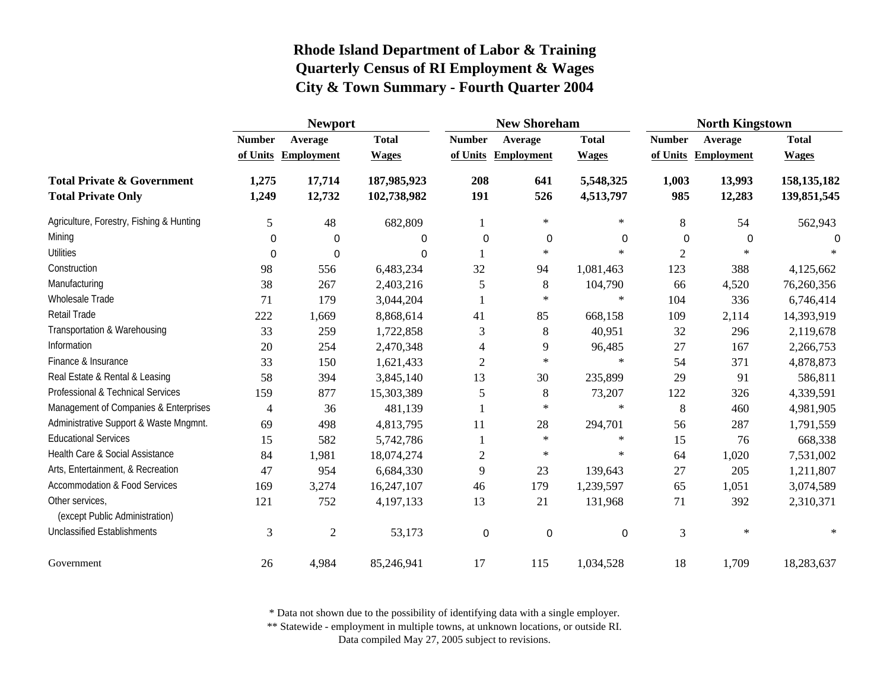|                                                   | <b>Newport</b> |                   |              |                | <b>New Shoreham</b> |              | <b>North Kingstown</b> |                     |               |
|---------------------------------------------------|----------------|-------------------|--------------|----------------|---------------------|--------------|------------------------|---------------------|---------------|
|                                                   | <b>Number</b>  | Average           | <b>Total</b> | <b>Number</b>  | Average             | <b>Total</b> | <b>Number</b>          | Average             | <b>Total</b>  |
|                                                   | of Units       | <b>Employment</b> | <b>Wages</b> | of Units       | <b>Employment</b>   | <b>Wages</b> |                        | of Units Employment | <b>Wages</b>  |
| <b>Total Private &amp; Government</b>             | 1,275          | 17,714            | 187,985,923  | 208            | 641                 | 5,548,325    | 1,003                  | 13,993              | 158, 135, 182 |
| <b>Total Private Only</b>                         | 1,249          | 12,732            | 102,738,982  | 191            | 526                 | 4,513,797    | 985                    | 12,283              | 139,851,545   |
| Agriculture, Forestry, Fishing & Hunting          | 5              | 48                | 682,809      |                | $\ast$              | $\ast$       | 8                      | 54                  | 562,943       |
| Mining                                            | 0              | 0                 | 0            | $\mathbf 0$    | $\boldsymbol{0}$    | 0            | 0                      | 0                   | 0             |
| <b>Utilities</b>                                  | 0              | 0                 | 0            |                | $\ast$              | $\ast$       | $\overline{2}$         | $\ast$              |               |
| Construction                                      | 98             | 556               | 6,483,234    | 32             | 94                  | 1,081,463    | 123                    | 388                 | 4,125,662     |
| Manufacturing                                     | 38             | 267               | 2,403,216    | 5              | 8                   | 104,790      | 66                     | 4,520               | 76,260,356    |
| Wholesale Trade                                   | 71             | 179               | 3,044,204    |                | $\ast$              | $\ast$       | 104                    | 336                 | 6,746,414     |
| <b>Retail Trade</b>                               | 222            | 1,669             | 8,868,614    | 41             | 85                  | 668,158      | 109                    | 2,114               | 14,393,919    |
| Transportation & Warehousing                      | 33             | 259               | 1,722,858    | 3              | 8                   | 40,951       | 32                     | 296                 | 2,119,678     |
| Information                                       | 20             | 254               | 2,470,348    | 4              | 9                   | 96,485       | 27                     | 167                 | 2,266,753     |
| Finance & Insurance                               | 33             | 150               | 1,621,433    | $\overline{c}$ | $\ast$              | $\ast$       | 54                     | 371                 | 4,878,873     |
| Real Estate & Rental & Leasing                    | 58             | 394               | 3,845,140    | 13             | 30                  | 235,899      | 29                     | 91                  | 586,811       |
| Professional & Technical Services                 | 159            | 877               | 15,303,389   | 5              | 8                   | 73,207       | 122                    | 326                 | 4,339,591     |
| Management of Companies & Enterprises             | 4              | 36                | 481,139      |                | $\ast$              | $\ast$       | 8                      | 460                 | 4,981,905     |
| Administrative Support & Waste Mngmnt.            | 69             | 498               | 4,813,795    | 11             | 28                  | 294,701      | 56                     | 287                 | 1,791,559     |
| <b>Educational Services</b>                       | 15             | 582               | 5,742,786    |                | $\ast$              | $\ast$       | 15                     | 76                  | 668,338       |
| Health Care & Social Assistance                   | 84             | 1,981             | 18,074,274   | $\overline{c}$ | $\ast$              | $\ast$       | 64                     | 1,020               | 7,531,002     |
| Arts, Entertainment, & Recreation                 | 47             | 954               | 6,684,330    | 9              | 23                  | 139,643      | 27                     | 205                 | 1,211,807     |
| <b>Accommodation &amp; Food Services</b>          | 169            | 3,274             | 16,247,107   | 46             | 179                 | 1,239,597    | 65                     | 1,051               | 3,074,589     |
| Other services,<br>(except Public Administration) | 121            | 752               | 4,197,133    | 13             | 21                  | 131,968      | 71                     | 392                 | 2,310,371     |
| <b>Unclassified Establishments</b>                | 3              | $\overline{2}$    | 53,173       | 0              | 0                   | 0            | 3                      | $\ast$              | $\ast$        |
| Government                                        | 26             | 4,984             | 85,246,941   | 17             | 115                 | 1,034,528    | 18                     | 1,709               | 18,283,637    |

\* Data not shown due to the possibility of identifying data with a single employer.

\*\* Statewide - employment in multiple towns, at unknown locations, or outside RI.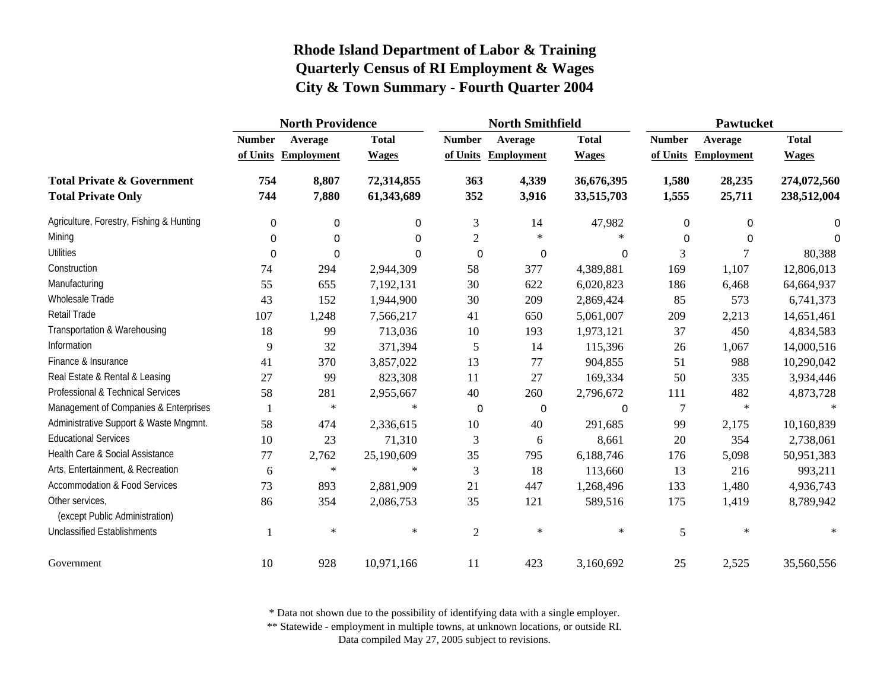|                                                   | <b>North Providence</b> |                   |              | <b>North Smithfield</b> |                     |              | Pawtucket      |                   |              |
|---------------------------------------------------|-------------------------|-------------------|--------------|-------------------------|---------------------|--------------|----------------|-------------------|--------------|
|                                                   | <b>Number</b>           | Average           | <b>Total</b> | <b>Number</b>           | Average             | <b>Total</b> | <b>Number</b>  | Average           | <b>Total</b> |
|                                                   | of Units                | <b>Employment</b> | <b>Wages</b> |                         | of Units Employment | <b>Wages</b> | of Units       | <b>Employment</b> | <b>Wages</b> |
| <b>Total Private &amp; Government</b>             | 754                     | 8,807             | 72,314,855   | 363                     | 4,339               | 36,676,395   | 1,580          | 28,235            | 274,072,560  |
| <b>Total Private Only</b>                         | 744                     | 7,880             | 61,343,689   | 352                     | 3,916               | 33,515,703   | 1,555          | 25,711            | 238,512,004  |
| Agriculture, Forestry, Fishing & Hunting          | 0                       | 0                 | 0            | 3                       | 14                  | 47,982       | 0              | $\mathbf 0$       | 0            |
| Mining                                            | 0                       | 0                 | 0            | $\overline{2}$          | $\ast$              | $\ast$       | 0              | 0                 | $\Omega$     |
| <b>Utilities</b>                                  | $\Omega$                | $\Omega$          | 0            | $\Omega$                | $\boldsymbol{0}$    | 0            | 3              | 7                 | 80,388       |
| Construction                                      | 74                      | 294               | 2,944,309    | 58                      | 377                 | 4,389,881    | 169            | 1,107             | 12,806,013   |
| Manufacturing                                     | 55                      | 655               | 7,192,131    | $30\,$                  | 622                 | 6,020,823    | 186            | 6,468             | 64,664,937   |
| Wholesale Trade                                   | 43                      | 152               | 1,944,900    | 30                      | 209                 | 2,869,424    | 85             | 573               | 6,741,373    |
| <b>Retail Trade</b>                               | 107                     | 1,248             | 7,566,217    | 41                      | 650                 | 5,061,007    | 209            | 2,213             | 14,651,461   |
| Transportation & Warehousing                      | 18                      | 99                | 713,036      | 10                      | 193                 | 1,973,121    | 37             | 450               | 4,834,583    |
| Information                                       | 9                       | 32                | 371,394      | 5                       | 14                  | 115,396      | 26             | 1,067             | 14,000,516   |
| Finance & Insurance                               | 41                      | 370               | 3,857,022    | 13                      | 77                  | 904,855      | 51             | 988               | 10,290,042   |
| Real Estate & Rental & Leasing                    | 27                      | 99                | 823,308      | 11                      | 27                  | 169,334      | 50             | 335               | 3,934,446    |
| Professional & Technical Services                 | 58                      | 281               | 2,955,667    | $40\,$                  | 260                 | 2,796,672    | 111            | 482               | 4,873,728    |
| Management of Companies & Enterprises             |                         | $\ast$            | $\ast$       | 0                       | 0                   | 0            | $\overline{7}$ | $\ast$            |              |
| Administrative Support & Waste Mngmnt.            | 58                      | 474               | 2,336,615    | 10                      | 40                  | 291,685      | 99             | 2,175             | 10,160,839   |
| <b>Educational Services</b>                       | 10                      | 23                | 71,310       | 3                       | 6                   | 8,661        | 20             | 354               | 2,738,061    |
| Health Care & Social Assistance                   | 77                      | 2,762             | 25,190,609   | 35                      | 795                 | 6,188,746    | 176            | 5,098             | 50,951,383   |
| Arts, Entertainment, & Recreation                 | 6                       | $\ast$            | $\ast$       | $\mathfrak{Z}$          | 18                  | 113,660      | 13             | 216               | 993,211      |
| <b>Accommodation &amp; Food Services</b>          | 73                      | 893               | 2,881,909    | 21                      | 447                 | 1,268,496    | 133            | 1,480             | 4,936,743    |
| Other services,<br>(except Public Administration) | 86                      | 354               | 2,086,753    | 35                      | 121                 | 589,516      | 175            | 1,419             | 8,789,942    |
| <b>Unclassified Establishments</b>                |                         | $\ast$            | $\ast$       | $\overline{2}$          | $\ast$              | $\ast$       | 5              | $\ast$            |              |
| Government                                        | 10                      | 928               | 10,971,166   | 11                      | 423                 | 3,160,692    | 25             | 2,525             | 35,560,556   |

\* Data not shown due to the possibility of identifying data with a single employer.

\*\* Statewide - employment in multiple towns, at unknown locations, or outside RI.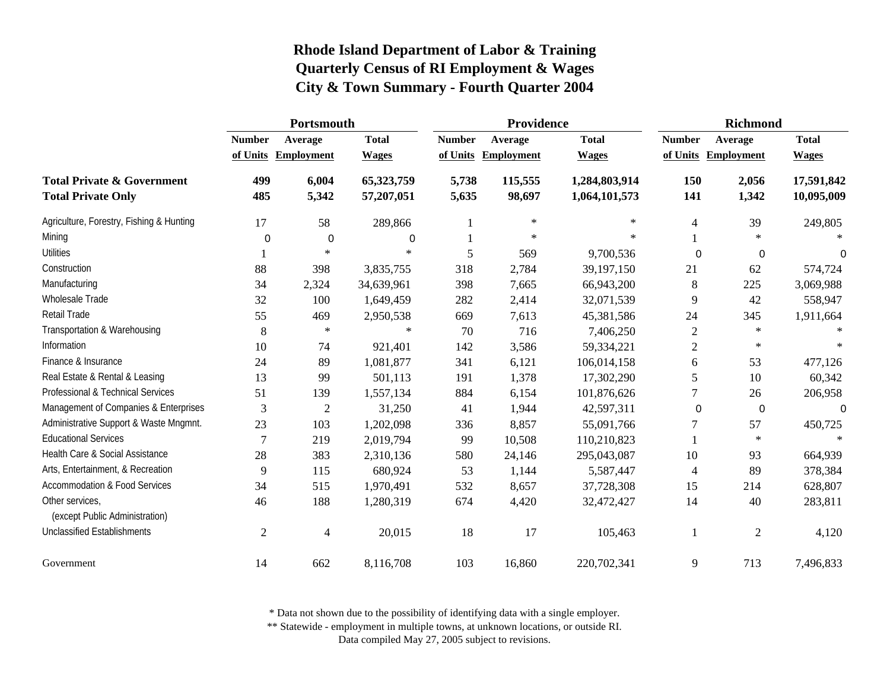|                                                                    | Portsmouth     |                     |                          |                | Providence        |                                | Richmond       |                     |                          |
|--------------------------------------------------------------------|----------------|---------------------|--------------------------|----------------|-------------------|--------------------------------|----------------|---------------------|--------------------------|
|                                                                    | <b>Number</b>  | Average             | <b>Total</b>             | <b>Number</b>  | Average           | <b>Total</b>                   | <b>Number</b>  | Average             | <b>Total</b>             |
|                                                                    |                | of Units Employment | <b>Wages</b>             | of Units       | <b>Employment</b> | <b>Wages</b>                   |                | of Units Employment | <b>Wages</b>             |
| <b>Total Private &amp; Government</b><br><b>Total Private Only</b> | 499<br>485     | 6,004<br>5,342      | 65,323,759<br>57,207,051 | 5,738<br>5,635 | 115,555<br>98,697 | 1,284,803,914<br>1,064,101,573 | 150<br>141     | 2,056<br>1,342      | 17,591,842<br>10,095,009 |
| Agriculture, Forestry, Fishing & Hunting                           | 17             | 58                  | 289,866                  |                | $\ast$            | $\ast$                         | 4              | 39                  | 249,805                  |
| Mining                                                             | 0              | 0                   | 0                        |                | $\ast$            | $*$                            |                | $\ast$              |                          |
| <b>Utilities</b>                                                   |                | $\ast$              | $\ast$                   | 5              | 569               | 9,700,536                      | 0              | 0                   | $\Omega$                 |
| Construction                                                       | 88             | 398                 | 3,835,755                | 318            | 2,784             | 39,197,150                     | 21             | 62                  | 574,724                  |
| Manufacturing                                                      | 34             | 2,324               | 34,639,961               | 398            | 7,665             | 66,943,200                     | 8              | 225                 | 3,069,988                |
| Wholesale Trade                                                    | 32             | 100                 | 1,649,459                | 282            | 2,414             | 32,071,539                     | 9              | 42                  | 558,947                  |
| Retail Trade                                                       | 55             | 469                 | 2,950,538                | 669            | 7,613             | 45,381,586                     | 24             | 345                 | 1,911,664                |
| Transportation & Warehousing                                       | 8              | $\ast$              | $\ast$                   | 70             | 716               | 7,406,250                      | $\overline{2}$ | $\ast$              |                          |
| Information                                                        | 10             | 74                  | 921,401                  | 142            | 3,586             | 59,334,221                     | $\overline{c}$ | $\ast$              |                          |
| Finance & Insurance                                                | 24             | 89                  | 1,081,877                | 341            | 6,121             | 106,014,158                    | 6              | 53                  | 477,126                  |
| Real Estate & Rental & Leasing                                     | 13             | 99                  | 501,113                  | 191            | 1,378             | 17,302,290                     | 5              | 10                  | 60,342                   |
| Professional & Technical Services                                  | 51             | 139                 | 1,557,134                | 884            | 6,154             | 101,876,626                    | 7              | 26                  | 206,958                  |
| Management of Companies & Enterprises                              | 3              | $\overline{2}$      | 31,250                   | 41             | 1,944             | 42,597,311                     | 0              | $\mathbf 0$         | $\Omega$                 |
| Administrative Support & Waste Mngmnt.                             | 23             | 103                 | 1,202,098                | 336            | 8,857             | 55,091,766                     | 7              | 57                  | 450,725                  |
| <b>Educational Services</b>                                        | $\overline{7}$ | 219                 | 2,019,794                | 99             | 10,508            | 110,210,823                    |                | $\ast$              | $\ast$                   |
| Health Care & Social Assistance                                    | 28             | 383                 | 2,310,136                | 580            | 24,146            | 295,043,087                    | 10             | 93                  | 664,939                  |
| Arts, Entertainment, & Recreation                                  | 9              | 115                 | 680,924                  | 53             | 1,144             | 5,587,447                      | $\overline{4}$ | 89                  | 378,384                  |
| <b>Accommodation &amp; Food Services</b>                           | 34             | 515                 | 1,970,491                | 532            | 8,657             | 37,728,308                     | 15             | 214                 | 628,807                  |
| Other services.<br>(except Public Administration)                  | 46             | 188                 | 1,280,319                | 674            | 4,420             | 32,472,427                     | 14             | 40                  | 283,811                  |
| <b>Unclassified Establishments</b>                                 | $\mathfrak{2}$ | 4                   | 20,015                   | 18             | 17                | 105,463                        | 1              | $\mathfrak{2}$      | 4,120                    |
| Government                                                         | 14             | 662                 | 8,116,708                | 103            | 16,860            | 220,702,341                    | 9              | 713                 | 7,496,833                |

\* Data not shown due to the possibility of identifying data with a single employer.

\*\* Statewide - employment in multiple towns, at unknown locations, or outside RI.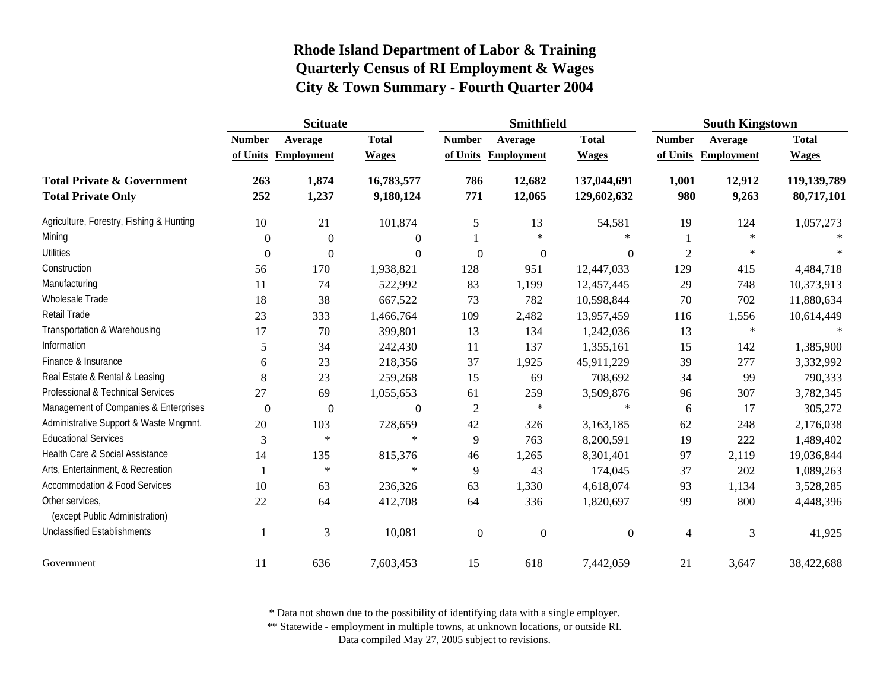|                                                                    | <b>Scituate</b> |                   |                         | <b>Smithfield</b> |                   |                            | <b>South Kingstown</b> |                   |                           |
|--------------------------------------------------------------------|-----------------|-------------------|-------------------------|-------------------|-------------------|----------------------------|------------------------|-------------------|---------------------------|
|                                                                    | <b>Number</b>   | Average           | <b>Total</b>            | <b>Number</b>     | Average           | <b>Total</b>               | <b>Number</b>          | Average           | <b>Total</b>              |
|                                                                    | of Units        | <b>Employment</b> | <b>Wages</b>            | of Units          | <b>Employment</b> | <b>Wages</b>               | of Units               | <b>Employment</b> | <b>Wages</b>              |
| <b>Total Private &amp; Government</b><br><b>Total Private Only</b> | 263<br>252      | 1,874<br>1,237    | 16,783,577<br>9,180,124 | 786<br>771        | 12,682<br>12,065  | 137,044,691<br>129,602,632 | 1,001<br>980           | 12,912<br>9,263   | 119,139,789<br>80,717,101 |
| Agriculture, Forestry, Fishing & Hunting                           | 10              | 21                | 101,874                 | 5                 | 13                | 54,581                     | 19                     | 124               | 1,057,273                 |
| Mining                                                             | 0               | 0                 | 0                       |                   | $\ast$            | $\ast$                     |                        | $\ast$            |                           |
| <b>Utilities</b>                                                   | $\mathbf 0$     | $\mathbf 0$       | 0                       | $\Omega$          | 0                 | 0                          | $\overline{2}$         | $\ast$            | $\ast$                    |
| Construction                                                       | 56              | 170               | 1,938,821               | 128               | 951               | 12,447,033                 | 129                    | 415               | 4,484,718                 |
| Manufacturing                                                      | 11              | 74                | 522,992                 | 83                | 1,199             | 12,457,445                 | 29                     | 748               | 10,373,913                |
| Wholesale Trade                                                    | 18              | 38                | 667,522                 | 73                | 782               | 10,598,844                 | 70                     | 702               | 11,880,634                |
| Retail Trade                                                       | 23              | 333               | 1,466,764               | 109               | 2,482             | 13,957,459                 | 116                    | 1,556             | 10,614,449                |
| Transportation & Warehousing                                       | 17              | 70                | 399,801                 | 13                | 134               | 1,242,036                  | 13                     | $\ast$            |                           |
| Information                                                        | 5               | 34                | 242,430                 | 11                | 137               | 1,355,161                  | 15                     | 142               | 1,385,900                 |
| Finance & Insurance                                                | 6               | 23                | 218,356                 | 37                | 1,925             | 45,911,229                 | 39                     | 277               | 3,332,992                 |
| Real Estate & Rental & Leasing                                     | 8               | 23                | 259,268                 | 15                | 69                | 708,692                    | 34                     | 99                | 790,333                   |
| Professional & Technical Services                                  | 27              | 69                | 1,055,653               | 61                | 259               | 3,509,876                  | 96                     | 307               | 3,782,345                 |
| Management of Companies & Enterprises                              | $\mathbf 0$     | 0                 | $\boldsymbol{0}$        | $\overline{c}$    | $\ast$            | $\ast$                     | 6                      | 17                | 305,272                   |
| Administrative Support & Waste Mngmnt.                             | 20              | 103               | 728,659                 | 42                | 326               | 3,163,185                  | 62                     | 248               | 2,176,038                 |
| <b>Educational Services</b>                                        | 3               | $\ast$            | $\ast$                  | 9                 | 763               | 8,200,591                  | 19                     | 222               | 1,489,402                 |
| Health Care & Social Assistance                                    | 14              | 135               | 815,376                 | 46                | 1,265             | 8,301,401                  | 97                     | 2,119             | 19,036,844                |
| Arts, Entertainment, & Recreation                                  | -1              | $\ast$            | $\ast$                  | 9                 | 43                | 174,045                    | 37                     | 202               | 1,089,263                 |
| <b>Accommodation &amp; Food Services</b>                           | 10              | 63                | 236,326                 | 63                | 1,330             | 4,618,074                  | 93                     | 1,134             | 3,528,285                 |
| Other services,<br>(except Public Administration)                  | 22              | 64                | 412,708                 | 64                | 336               | 1,820,697                  | 99                     | 800               | 4,448,396                 |
| <b>Unclassified Establishments</b>                                 | -1              | 3                 | 10,081                  | $\mathbf 0$       | $\mathbf 0$       | 0                          | 4                      | 3                 | 41,925                    |
| Government                                                         | 11              | 636               | 7,603,453               | 15                | 618               | 7,442,059                  | 21                     | 3,647             | 38,422,688                |

\* Data not shown due to the possibility of identifying data with a single employer.

\*\* Statewide - employment in multiple towns, at unknown locations, or outside RI.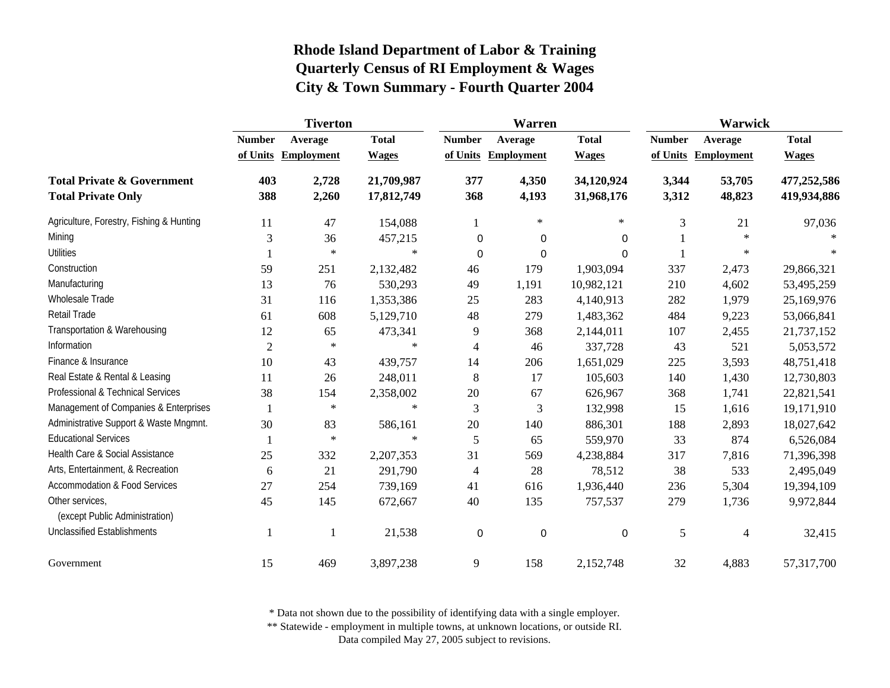|                                                                    | <b>Tiverton</b> |                     |                          |                | Warren            |                          | Warwick        |                     |                            |
|--------------------------------------------------------------------|-----------------|---------------------|--------------------------|----------------|-------------------|--------------------------|----------------|---------------------|----------------------------|
|                                                                    | <b>Number</b>   | Average             | <b>Total</b>             | <b>Number</b>  | Average           | <b>Total</b>             | <b>Number</b>  | Average             | <b>Total</b>               |
|                                                                    |                 | of Units Employment | <b>Wages</b>             | of Units       | <b>Employment</b> | <b>Wages</b>             |                | of Units Employment | <b>Wages</b>               |
| <b>Total Private &amp; Government</b><br><b>Total Private Only</b> | 403<br>388      | 2,728<br>2,260      | 21,709,987<br>17,812,749 | 377<br>368     | 4,350<br>4,193    | 34,120,924<br>31,968,176 | 3,344<br>3,312 | 53,705<br>48,823    | 477,252,586<br>419,934,886 |
| Agriculture, Forestry, Fishing & Hunting                           | 11              | 47                  | 154,088                  | 1              | $\ast$            | $\ast$                   | 3              | 21                  | 97,036                     |
| Mining                                                             | 3               | 36                  | 457,215                  | 0              | 0                 | 0                        |                | $\ast$              |                            |
| <b>Utilities</b>                                                   |                 | $\ast$              | $\ast$                   | $\Omega$       | 0                 | $\Omega$                 |                | $\ast$              | $\ast$                     |
| Construction                                                       | 59              | 251                 | 2,132,482                | 46             | 179               | 1,903,094                | 337            | 2,473               | 29,866,321                 |
| Manufacturing                                                      | 13              | 76                  | 530,293                  | 49             | 1,191             | 10,982,121               | 210            | 4,602               | 53,495,259                 |
| Wholesale Trade                                                    | 31              | 116                 | 1,353,386                | 25             | 283               | 4,140,913                | 282            | 1,979               | 25,169,976                 |
| Retail Trade                                                       | 61              | 608                 | 5,129,710                | 48             | 279               | 1,483,362                | 484            | 9,223               | 53,066,841                 |
| Transportation & Warehousing                                       | 12              | 65                  | 473,341                  | 9              | 368               | 2,144,011                | 107            | 2,455               | 21,737,152                 |
| Information                                                        | $\overline{2}$  | $\ast$              | $\ast$                   | $\overline{4}$ | 46                | 337,728                  | 43             | 521                 | 5,053,572                  |
| Finance & Insurance                                                | 10              | 43                  | 439,757                  | 14             | 206               | 1,651,029                | 225            | 3,593               | 48,751,418                 |
| Real Estate & Rental & Leasing                                     | 11              | 26                  | 248,011                  | 8              | 17                | 105,603                  | 140            | 1,430               | 12,730,803                 |
| Professional & Technical Services                                  | 38              | 154                 | 2,358,002                | $20\,$         | 67                | 626,967                  | 368            | 1,741               | 22,821,541                 |
| Management of Companies & Enterprises                              |                 | $\ast$              | $\ast$                   | 3              | 3                 | 132,998                  | 15             | 1,616               | 19,171,910                 |
| Administrative Support & Waste Mngmnt.                             | 30              | 83                  | 586,161                  | 20             | 140               | 886,301                  | 188            | 2,893               | 18,027,642                 |
| <b>Educational Services</b>                                        |                 | $\star$             | $\ast$                   | 5              | 65                | 559,970                  | 33             | 874                 | 6,526,084                  |
| Health Care & Social Assistance                                    | 25              | 332                 | 2,207,353                | 31             | 569               | 4,238,884                | 317            | 7,816               | 71,396,398                 |
| Arts, Entertainment, & Recreation                                  | 6               | 21                  | 291,790                  | $\overline{4}$ | 28                | 78,512                   | 38             | 533                 | 2,495,049                  |
| Accommodation & Food Services                                      | 27              | 254                 | 739,169                  | 41             | 616               | 1,936,440                | 236            | 5,304               | 19,394,109                 |
| Other services,<br>(except Public Administration)                  | 45              | 145                 | 672,667                  | 40             | 135               | 757,537                  | 279            | 1,736               | 9,972,844                  |
| <b>Unclassified Establishments</b>                                 |                 | 1                   | 21,538                   | 0              | $\mathbf 0$       | $\boldsymbol{0}$         | 5              | 4                   | 32,415                     |
| Government                                                         | 15              | 469                 | 3,897,238                | $\overline{9}$ | 158               | 2,152,748                | 32             | 4,883               | 57,317,700                 |

\* Data not shown due to the possibility of identifying data with a single employer.

\*\* Statewide - employment in multiple towns, at unknown locations, or outside RI.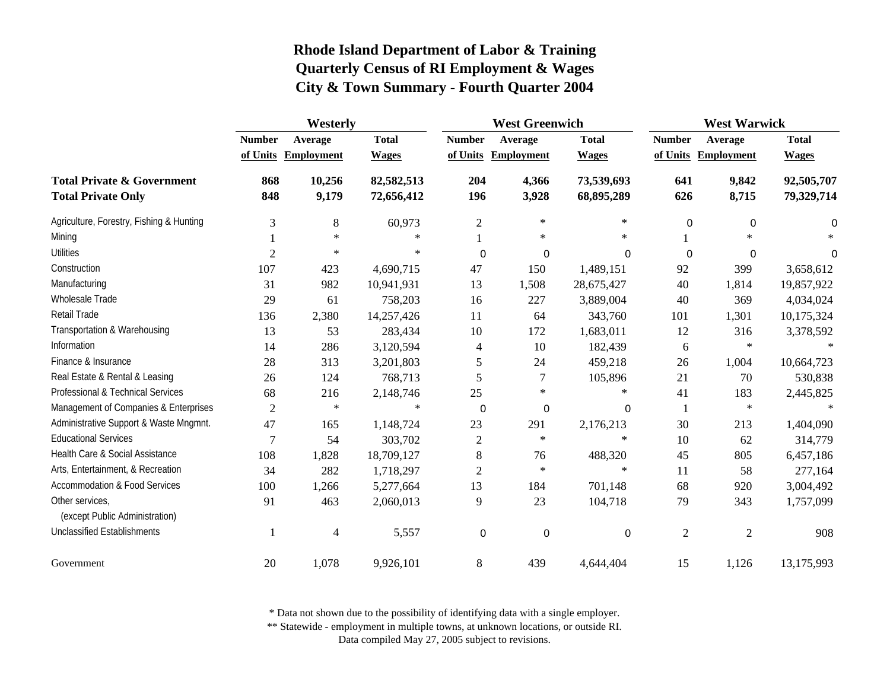|                                                                    | Westerly       |                     |                          | <b>West Greenwich</b> |                     |                          | <b>West Warwick</b> |                     |                          |
|--------------------------------------------------------------------|----------------|---------------------|--------------------------|-----------------------|---------------------|--------------------------|---------------------|---------------------|--------------------------|
|                                                                    | <b>Number</b>  | Average             | <b>Total</b>             | <b>Number</b>         | Average             | <b>Total</b>             | <b>Number</b>       | Average             | <b>Total</b>             |
|                                                                    |                | of Units Employment | <b>Wages</b>             |                       | of Units Employment | <b>Wages</b>             |                     | of Units Employment | <b>Wages</b>             |
| <b>Total Private &amp; Government</b><br><b>Total Private Only</b> | 868<br>848     | 10,256<br>9,179     | 82,582,513<br>72,656,412 | 204<br>196            | 4,366<br>3,928      | 73,539,693<br>68,895,289 | 641<br>626          | 9,842<br>8,715      | 92,505,707<br>79,329,714 |
| Agriculture, Forestry, Fishing & Hunting                           | 3              | 8                   | 60,973                   | $\overline{c}$        | $\ast$              | $\ast$                   | 0                   | $\mathbf 0$         | 0                        |
| Mining                                                             |                | $\ast$              | $\ast$                   |                       | $\ast$              | $\ast$                   |                     | $\ast$              |                          |
| <b>Utilities</b>                                                   | $\overline{2}$ | $\ast$              | $\ast$                   | 0                     | 0                   | $\Omega$                 | 0                   | $\mathbf 0$         | $\Omega$                 |
| Construction                                                       | 107            | 423                 | 4,690,715                | 47                    | 150                 | 1,489,151                | 92                  | 399                 | 3,658,612                |
| Manufacturing                                                      | 31             | 982                 | 10,941,931               | 13                    | 1,508               | 28,675,427               | 40                  | 1,814               | 19,857,922               |
| Wholesale Trade                                                    | 29             |                     |                          | 16                    | 227                 |                          | 40                  | 369                 |                          |
| Retail Trade                                                       |                | 61                  | 758,203                  |                       |                     | 3,889,004                |                     |                     | 4,034,024                |
| Transportation & Warehousing                                       | 136            | 2,380               | 14,257,426               | 11                    | 64                  | 343,760                  | 101                 | 1,301               | 10,175,324               |
|                                                                    | 13             | 53                  | 283,434                  | 10                    | 172                 | 1,683,011                | 12                  | 316                 | 3,378,592                |
| Information                                                        | 14             | 286                 | 3,120,594                | 4                     | 10                  | 182,439                  | 6                   | $\ast$              |                          |
| Finance & Insurance                                                | 28             | 313                 | 3,201,803                | 5                     | 24                  | 459,218                  | 26                  | 1,004               | 10,664,723               |
| Real Estate & Rental & Leasing                                     | 26             | 124                 | 768,713                  | 5                     | $\tau$              | 105,896                  | 21                  | 70                  | 530,838                  |
| Professional & Technical Services                                  | 68             | 216                 | 2,148,746                | 25                    | $\ast$              | $\ast$                   | 41                  | 183                 | 2,445,825                |
| Management of Companies & Enterprises                              | $\overline{2}$ | $\ast$              | $\ast$                   | 0                     | 0                   | 0                        |                     | $\ast$              | $\ast$                   |
| Administrative Support & Waste Mngmnt.                             | 47             | 165                 | 1,148,724                | 23                    | 291                 | 2,176,213                | 30                  | 213                 | 1,404,090                |
| <b>Educational Services</b>                                        | 7              | 54                  | 303,702                  | $\overline{c}$        | $\ast$              | $\ast$                   | 10                  | 62                  | 314,779                  |
| Health Care & Social Assistance                                    | 108            | 1,828               | 18,709,127               | 8                     | 76                  | 488,320                  | 45                  | 805                 | 6,457,186                |
| Arts, Entertainment, & Recreation                                  | 34             | 282                 | 1,718,297                | $\mathfrak{2}$        | $\ast$              | $\ast$                   | 11                  | 58                  | 277,164                  |
| <b>Accommodation &amp; Food Services</b>                           | 100            | 1,266               | 5,277,664                | 13                    | 184                 | 701,148                  | 68                  | 920                 | 3,004,492                |
| Other services,<br>(except Public Administration)                  | 91             | 463                 | 2,060,013                | 9                     | 23                  | 104,718                  | 79                  | 343                 | 1,757,099                |
| <b>Unclassified Establishments</b>                                 |                | 4                   | 5,557                    | 0                     | 0                   | $\mathbf 0$              | $\mathfrak{2}$      | $\mathfrak{2}$      | 908                      |
| Government                                                         | 20             | 1,078               | 9,926,101                | 8                     | 439                 | 4,644,404                | 15                  | 1,126               | 13,175,993               |

\* Data not shown due to the possibility of identifying data with a single employer.

\*\* Statewide - employment in multiple towns, at unknown locations, or outside RI.